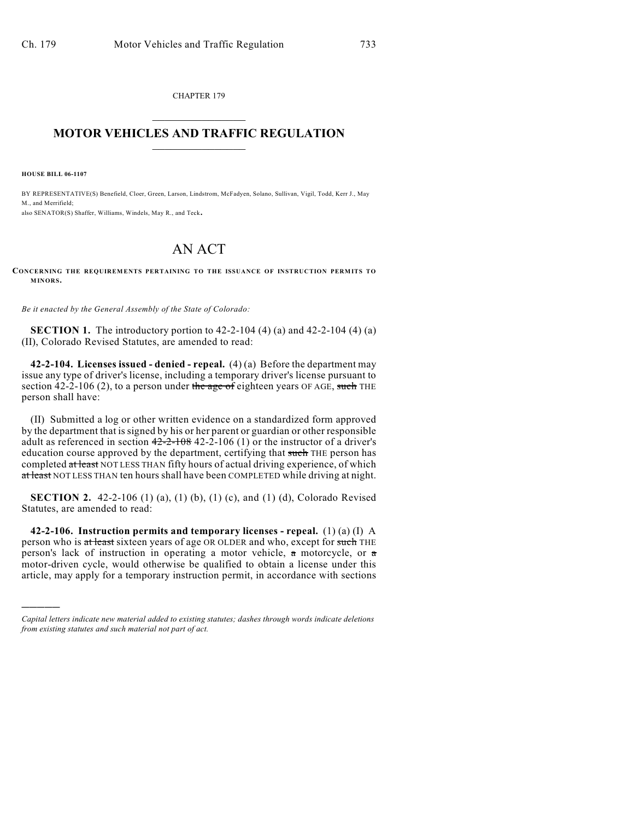CHAPTER 179  $\mathcal{L}_\text{max}$  . The set of the set of the set of the set of the set of the set of the set of the set of the set of the set of the set of the set of the set of the set of the set of the set of the set of the set of the set

## **MOTOR VEHICLES AND TRAFFIC REGULATION**  $\frac{1}{2}$  ,  $\frac{1}{2}$  ,  $\frac{1}{2}$  ,  $\frac{1}{2}$  ,  $\frac{1}{2}$  ,  $\frac{1}{2}$  ,  $\frac{1}{2}$

**HOUSE BILL 06-1107**

)))))

BY REPRESENTATIVE(S) Benefield, Cloer, Green, Larson, Lindstrom, McFadyen, Solano, Sullivan, Vigil, Todd, Kerr J., May M., and Merrifield; also SENATOR(S) Shaffer, Williams, Windels, May R., and Teck.

## AN ACT

**CONCERNING THE REQUIREMENTS PERTAINING TO THE ISSUANCE OF INSTRUCTION PERMITS TO MINORS.**

*Be it enacted by the General Assembly of the State of Colorado:*

**SECTION 1.** The introductory portion to 42-2-104 (4) (a) and 42-2-104 (4) (a) (II), Colorado Revised Statutes, are amended to read:

**42-2-104. Licenses issued - denied - repeal.** (4) (a) Before the department may issue any type of driver's license, including a temporary driver's license pursuant to section  $42-2-106$  (2), to a person under the age of eighteen years OF AGE, such THE person shall have:

(II) Submitted a log or other written evidence on a standardized form approved by the department that is signed by his or her parent or guardian or other responsible adult as referenced in section  $42-2-108$  42-2-106 (1) or the instructor of a driver's education course approved by the department, certifying that such THE person has completed at least NOT LESS THAN fifty hours of actual driving experience, of which at least NOT LESS THAN ten hours shall have been COMPLETED while driving at night.

**SECTION 2.** 42-2-106 (1) (a), (1) (b), (1) (c), and (1) (d), Colorado Revised Statutes, are amended to read:

**42-2-106. Instruction permits and temporary licenses - repeal.** (1) (a) (I) A person who is at least sixteen years of age OR OLDER and who, except for such THE person's lack of instruction in operating a motor vehicle, a motorcycle, or a motor-driven cycle, would otherwise be qualified to obtain a license under this article, may apply for a temporary instruction permit, in accordance with sections

*Capital letters indicate new material added to existing statutes; dashes through words indicate deletions from existing statutes and such material not part of act.*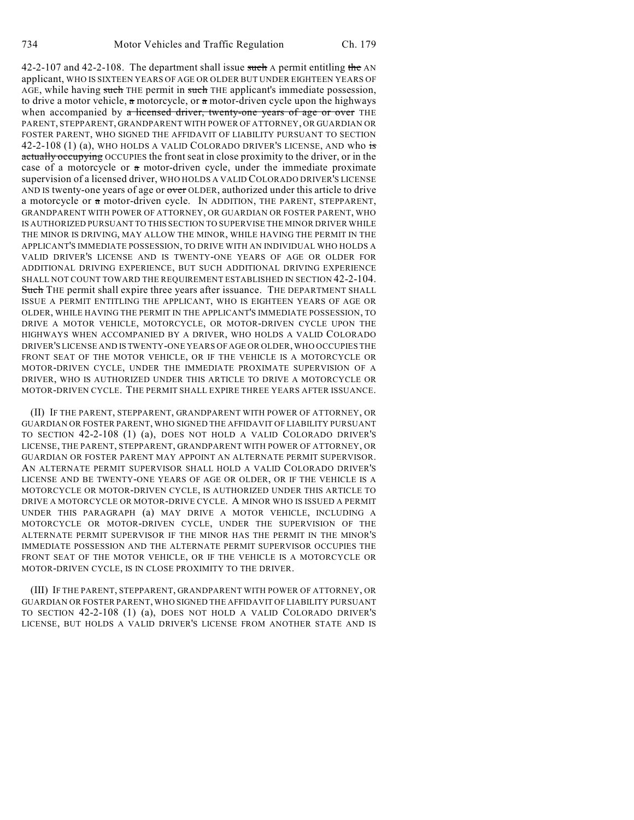42-2-107 and 42-2-108. The department shall issue such A permit entitling the AN applicant, WHO IS SIXTEEN YEARS OF AGE OR OLDER BUT UNDER EIGHTEEN YEARS OF AGE, while having such THE permit in such THE applicant's immediate possession, to drive a motor vehicle,  $\alpha$  motorcycle, or  $\alpha$  motor-driven cycle upon the highways when accompanied by a licensed driver, twenty-one years of age or over THE PARENT, STEPPARENT, GRANDPARENT WITH POWER OF ATTORNEY, OR GUARDIAN OR FOSTER PARENT, WHO SIGNED THE AFFIDAVIT OF LIABILITY PURSUANT TO SECTION 42-2-108 (1) (a), WHO HOLDS A VALID COLORADO DRIVER'S LICENSE, AND who is actually occupying OCCUPIES the front seat in close proximity to the driver, or in the case of a motorcycle or  $\pi$  motor-driven cycle, under the immediate proximate supervision of a licensed driver, WHO HOLDS A VALID COLORADO DRIVER'S LICENSE AND IS twenty-one years of age or over OLDER, authorized under this article to drive a motorcycle or a motor-driven cycle. IN ADDITION, THE PARENT, STEPPARENT, GRANDPARENT WITH POWER OF ATTORNEY, OR GUARDIAN OR FOSTER PARENT, WHO IS AUTHORIZED PURSUANT TO THIS SECTION TO SUPERVISE THE MINOR DRIVER WHILE THE MINOR IS DRIVING, MAY ALLOW THE MINOR, WHILE HAVING THE PERMIT IN THE APPLICANT'S IMMEDIATE POSSESSION, TO DRIVE WITH AN INDIVIDUAL WHO HOLDS A VALID DRIVER'S LICENSE AND IS TWENTY-ONE YEARS OF AGE OR OLDER FOR ADDITIONAL DRIVING EXPERIENCE, BUT SUCH ADDITIONAL DRIVING EXPERIENCE SHALL NOT COUNT TOWARD THE REQUIREMENT ESTABLISHED IN SECTION 42-2-104. Such THE permit shall expire three years after issuance. THE DEPARTMENT SHALL ISSUE A PERMIT ENTITLING THE APPLICANT, WHO IS EIGHTEEN YEARS OF AGE OR OLDER, WHILE HAVING THE PERMIT IN THE APPLICANT'S IMMEDIATE POSSESSION, TO DRIVE A MOTOR VEHICLE, MOTORCYCLE, OR MOTOR-DRIVEN CYCLE UPON THE HIGHWAYS WHEN ACCOMPANIED BY A DRIVER, WHO HOLDS A VALID COLORADO DRIVER'S LICENSE AND IS TWENTY-ONE YEARS OF AGE OR OLDER, WHO OCCUPIES THE FRONT SEAT OF THE MOTOR VEHICLE, OR IF THE VEHICLE IS A MOTORCYCLE OR MOTOR-DRIVEN CYCLE, UNDER THE IMMEDIATE PROXIMATE SUPERVISION OF A DRIVER, WHO IS AUTHORIZED UNDER THIS ARTICLE TO DRIVE A MOTORCYCLE OR MOTOR-DRIVEN CYCLE. THE PERMIT SHALL EXPIRE THREE YEARS AFTER ISSUANCE.

(II) IF THE PARENT, STEPPARENT, GRANDPARENT WITH POWER OF ATTORNEY, OR GUARDIAN OR FOSTER PARENT, WHO SIGNED THE AFFIDAVIT OF LIABILITY PURSUANT TO SECTION 42-2-108 (1) (a), DOES NOT HOLD A VALID COLORADO DRIVER'S LICENSE, THE PARENT, STEPPARENT, GRANDPARENT WITH POWER OF ATTORNEY, OR GUARDIAN OR FOSTER PARENT MAY APPOINT AN ALTERNATE PERMIT SUPERVISOR. AN ALTERNATE PERMIT SUPERVISOR SHALL HOLD A VALID COLORADO DRIVER'S LICENSE AND BE TWENTY-ONE YEARS OF AGE OR OLDER, OR IF THE VEHICLE IS A MOTORCYCLE OR MOTOR-DRIVEN CYCLE, IS AUTHORIZED UNDER THIS ARTICLE TO DRIVE A MOTORCYCLE OR MOTOR-DRIVE CYCLE. A MINOR WHO IS ISSUED A PERMIT UNDER THIS PARAGRAPH (a) MAY DRIVE A MOTOR VEHICLE, INCLUDING A MOTORCYCLE OR MOTOR-DRIVEN CYCLE, UNDER THE SUPERVISION OF THE ALTERNATE PERMIT SUPERVISOR IF THE MINOR HAS THE PERMIT IN THE MINOR'S IMMEDIATE POSSESSION AND THE ALTERNATE PERMIT SUPERVISOR OCCUPIES THE FRONT SEAT OF THE MOTOR VEHICLE, OR IF THE VEHICLE IS A MOTORCYCLE OR MOTOR-DRIVEN CYCLE, IS IN CLOSE PROXIMITY TO THE DRIVER.

(III) IF THE PARENT, STEPPARENT, GRANDPARENT WITH POWER OF ATTORNEY, OR GUARDIAN OR FOSTER PARENT, WHO SIGNED THE AFFIDAVIT OF LIABILITY PURSUANT TO SECTION 42-2-108 (1) (a), DOES NOT HOLD A VALID COLORADO DRIVER'S LICENSE, BUT HOLDS A VALID DRIVER'S LICENSE FROM ANOTHER STATE AND IS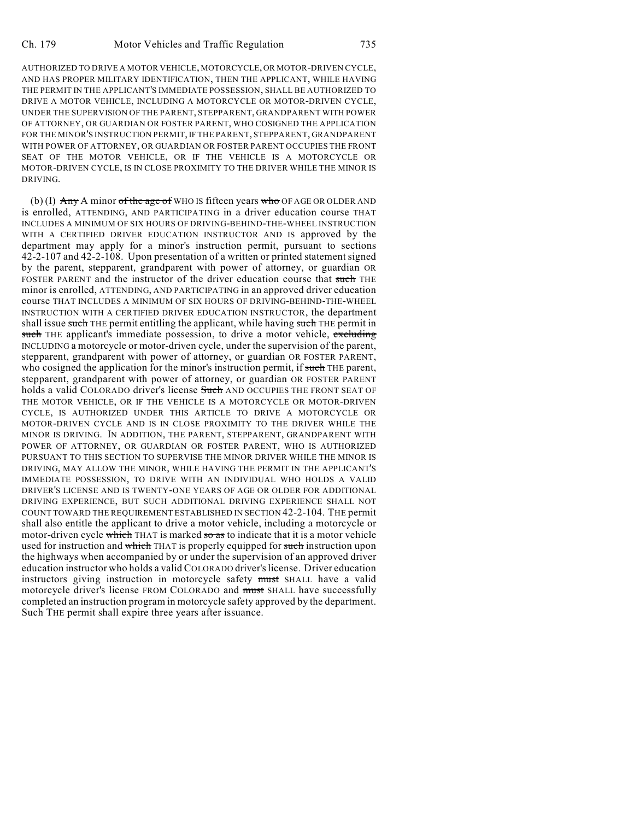AUTHORIZED TO DRIVE A MOTOR VEHICLE, MOTORCYCLE, OR MOTOR-DRIVEN CYCLE, AND HAS PROPER MILITARY IDENTIFICATION, THEN THE APPLICANT, WHILE HAVING THE PERMIT IN THE APPLICANT'S IMMEDIATE POSSESSION, SHALL BE AUTHORIZED TO DRIVE A MOTOR VEHICLE, INCLUDING A MOTORCYCLE OR MOTOR-DRIVEN CYCLE, UNDER THE SUPERVISION OF THE PARENT, STEPPARENT, GRANDPARENT WITH POWER OF ATTORNEY, OR GUARDIAN OR FOSTER PARENT, WHO COSIGNED THE APPLICATION FOR THE MINOR'S INSTRUCTION PERMIT, IF THE PARENT, STEPPARENT, GRANDPARENT WITH POWER OF ATTORNEY, OR GUARDIAN OR FOSTER PARENT OCCUPIES THE FRONT SEAT OF THE MOTOR VEHICLE, OR IF THE VEHICLE IS A MOTORCYCLE OR MOTOR-DRIVEN CYCLE, IS IN CLOSE PROXIMITY TO THE DRIVER WHILE THE MINOR IS DRIVING.

(b) (I)  $\overrightarrow{Any}$  A minor of the age of WHO IS fifteen years who OF AGE OR OLDER AND is enrolled, ATTENDING, AND PARTICIPATING in a driver education course THAT INCLUDES A MINIMUM OF SIX HOURS OF DRIVING-BEHIND-THE-WHEEL INSTRUCTION WITH A CERTIFIED DRIVER EDUCATION INSTRUCTOR AND IS approved by the department may apply for a minor's instruction permit, pursuant to sections 42-2-107 and 42-2-108. Upon presentation of a written or printed statement signed by the parent, stepparent, grandparent with power of attorney, or guardian OR FOSTER PARENT and the instructor of the driver education course that such THE minor is enrolled, ATTENDING, AND PARTICIPATING in an approved driver education course THAT INCLUDES A MINIMUM OF SIX HOURS OF DRIVING-BEHIND-THE-WHEEL INSTRUCTION WITH A CERTIFIED DRIVER EDUCATION INSTRUCTOR, the department shall issue such THE permit entitling the applicant, while having such THE permit in such THE applicant's immediate possession, to drive a motor vehicle, excluding INCLUDING a motorcycle or motor-driven cycle, under the supervision of the parent, stepparent, grandparent with power of attorney, or guardian OR FOSTER PARENT, who cosigned the application for the minor's instruction permit, if such THE parent, stepparent, grandparent with power of attorney, or guardian OR FOSTER PARENT holds a valid COLORADO driver's license Such AND OCCUPIES THE FRONT SEAT OF THE MOTOR VEHICLE, OR IF THE VEHICLE IS A MOTORCYCLE OR MOTOR-DRIVEN CYCLE, IS AUTHORIZED UNDER THIS ARTICLE TO DRIVE A MOTORCYCLE OR MOTOR-DRIVEN CYCLE AND IS IN CLOSE PROXIMITY TO THE DRIVER WHILE THE MINOR IS DRIVING. IN ADDITION, THE PARENT, STEPPARENT, GRANDPARENT WITH POWER OF ATTORNEY, OR GUARDIAN OR FOSTER PARENT, WHO IS AUTHORIZED PURSUANT TO THIS SECTION TO SUPERVISE THE MINOR DRIVER WHILE THE MINOR IS DRIVING, MAY ALLOW THE MINOR, WHILE HAVING THE PERMIT IN THE APPLICANT'S IMMEDIATE POSSESSION, TO DRIVE WITH AN INDIVIDUAL WHO HOLDS A VALID DRIVER'S LICENSE AND IS TWENTY-ONE YEARS OF AGE OR OLDER FOR ADDITIONAL DRIVING EXPERIENCE, BUT SUCH ADDITIONAL DRIVING EXPERIENCE SHALL NOT COUNT TOWARD THE REQUIREMENT ESTABLISHED IN SECTION 42-2-104. THE permit shall also entitle the applicant to drive a motor vehicle, including a motorcycle or motor-driven cycle which THAT is marked so as to indicate that it is a motor vehicle used for instruction and which THAT is properly equipped for such instruction upon the highways when accompanied by or under the supervision of an approved driver education instructor who holds a valid COLORADO driver's license. Driver education instructors giving instruction in motorcycle safety must SHALL have a valid motorcycle driver's license FROM COLORADO and must SHALL have successfully completed an instruction program in motorcycle safety approved by the department. Such THE permit shall expire three years after issuance.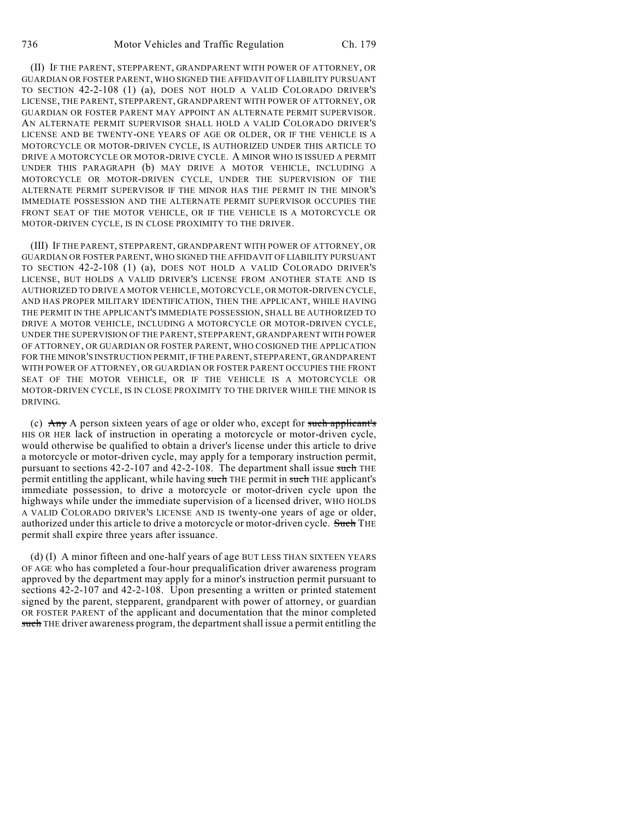(II) IF THE PARENT, STEPPARENT, GRANDPARENT WITH POWER OF ATTORNEY, OR GUARDIAN OR FOSTER PARENT, WHO SIGNED THE AFFIDAVIT OF LIABILITY PURSUANT TO SECTION 42-2-108 (1) (a), DOES NOT HOLD A VALID COLORADO DRIVER'S LICENSE, THE PARENT, STEPPARENT, GRANDPARENT WITH POWER OF ATTORNEY, OR GUARDIAN OR FOSTER PARENT MAY APPOINT AN ALTERNATE PERMIT SUPERVISOR. AN ALTERNATE PERMIT SUPERVISOR SHALL HOLD A VALID COLORADO DRIVER'S LICENSE AND BE TWENTY-ONE YEARS OF AGE OR OLDER, OR IF THE VEHICLE IS A MOTORCYCLE OR MOTOR-DRIVEN CYCLE, IS AUTHORIZED UNDER THIS ARTICLE TO DRIVE A MOTORCYCLE OR MOTOR-DRIVE CYCLE. A MINOR WHO IS ISSUED A PERMIT UNDER THIS PARAGRAPH (b) MAY DRIVE A MOTOR VEHICLE, INCLUDING A MOTORCYCLE OR MOTOR-DRIVEN CYCLE, UNDER THE SUPERVISION OF THE ALTERNATE PERMIT SUPERVISOR IF THE MINOR HAS THE PERMIT IN THE MINOR'S IMMEDIATE POSSESSION AND THE ALTERNATE PERMIT SUPERVISOR OCCUPIES THE FRONT SEAT OF THE MOTOR VEHICLE, OR IF THE VEHICLE IS A MOTORCYCLE OR MOTOR-DRIVEN CYCLE, IS IN CLOSE PROXIMITY TO THE DRIVER.

(III) IF THE PARENT, STEPPARENT, GRANDPARENT WITH POWER OF ATTORNEY, OR GUARDIAN OR FOSTER PARENT, WHO SIGNED THE AFFIDAVIT OF LIABILITY PURSUANT TO SECTION 42-2-108 (1) (a), DOES NOT HOLD A VALID COLORADO DRIVER'S LICENSE, BUT HOLDS A VALID DRIVER'S LICENSE FROM ANOTHER STATE AND IS AUTHORIZED TO DRIVE A MOTOR VEHICLE, MOTORCYCLE, OR MOTOR-DRIVEN CYCLE, AND HAS PROPER MILITARY IDENTIFICATION, THEN THE APPLICANT, WHILE HAVING THE PERMIT IN THE APPLICANT'S IMMEDIATE POSSESSION, SHALL BE AUTHORIZED TO DRIVE A MOTOR VEHICLE, INCLUDING A MOTORCYCLE OR MOTOR-DRIVEN CYCLE, UNDER THE SUPERVISION OF THE PARENT, STEPPARENT, GRANDPARENT WITH POWER OF ATTORNEY, OR GUARDIAN OR FOSTER PARENT, WHO COSIGNED THE APPLICATION FOR THE MINOR'S INSTRUCTION PERMIT, IF THE PARENT, STEPPARENT, GRANDPARENT WITH POWER OF ATTORNEY, OR GUARDIAN OR FOSTER PARENT OCCUPIES THE FRONT SEAT OF THE MOTOR VEHICLE, OR IF THE VEHICLE IS A MOTORCYCLE OR MOTOR-DRIVEN CYCLE, IS IN CLOSE PROXIMITY TO THE DRIVER WHILE THE MINOR IS DRIVING.

(c)  $\overrightarrow{Any}$  A person sixteen years of age or older who, except for such applicant's HIS OR HER lack of instruction in operating a motorcycle or motor-driven cycle, would otherwise be qualified to obtain a driver's license under this article to drive a motorcycle or motor-driven cycle, may apply for a temporary instruction permit, pursuant to sections 42-2-107 and 42-2-108. The department shall issue such THE permit entitling the applicant, while having such THE permit in such THE applicant's immediate possession, to drive a motorcycle or motor-driven cycle upon the highways while under the immediate supervision of a licensed driver, WHO HOLDS A VALID COLORADO DRIVER'S LICENSE AND IS twenty-one years of age or older, authorized under this article to drive a motorcycle or motor-driven cycle. Such THE permit shall expire three years after issuance.

(d) (I) A minor fifteen and one-half years of age BUT LESS THAN SIXTEEN YEARS OF AGE who has completed a four-hour prequalification driver awareness program approved by the department may apply for a minor's instruction permit pursuant to sections 42-2-107 and 42-2-108. Upon presenting a written or printed statement signed by the parent, stepparent, grandparent with power of attorney, or guardian OR FOSTER PARENT of the applicant and documentation that the minor completed such THE driver awareness program, the department shall issue a permit entitling the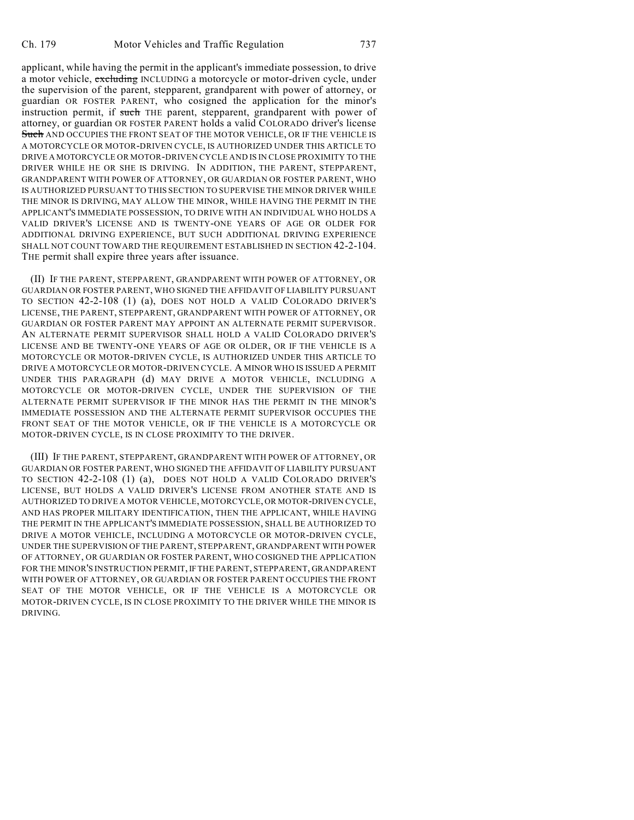applicant, while having the permit in the applicant's immediate possession, to drive a motor vehicle, excluding INCLUDING a motorcycle or motor-driven cycle, under the supervision of the parent, stepparent, grandparent with power of attorney, or guardian OR FOSTER PARENT, who cosigned the application for the minor's instruction permit, if such THE parent, stepparent, grandparent with power of attorney, or guardian OR FOSTER PARENT holds a valid COLORADO driver's license Such AND OCCUPIES THE FRONT SEAT OF THE MOTOR VEHICLE, OR IF THE VEHICLE IS A MOTORCYCLE OR MOTOR-DRIVEN CYCLE, IS AUTHORIZED UNDER THIS ARTICLE TO DRIVE A MOTORCYCLE OR MOTOR-DRIVEN CYCLE AND IS IN CLOSE PROXIMITY TO THE DRIVER WHILE HE OR SHE IS DRIVING. IN ADDITION, THE PARENT, STEPPARENT, GRANDPARENT WITH POWER OF ATTORNEY, OR GUARDIAN OR FOSTER PARENT, WHO IS AUTHORIZED PURSUANT TO THIS SECTION TO SUPERVISE THE MINOR DRIVER WHILE THE MINOR IS DRIVING, MAY ALLOW THE MINOR, WHILE HAVING THE PERMIT IN THE APPLICANT'S IMMEDIATE POSSESSION, TO DRIVE WITH AN INDIVIDUAL WHO HOLDS A VALID DRIVER'S LICENSE AND IS TWENTY-ONE YEARS OF AGE OR OLDER FOR ADDITIONAL DRIVING EXPERIENCE, BUT SUCH ADDITIONAL DRIVING EXPERIENCE SHALL NOT COUNT TOWARD THE REQUIREMENT ESTABLISHED IN SECTION 42-2-104. THE permit shall expire three years after issuance.

(II) IF THE PARENT, STEPPARENT, GRANDPARENT WITH POWER OF ATTORNEY, OR GUARDIAN OR FOSTER PARENT, WHO SIGNED THE AFFIDAVIT OF LIABILITY PURSUANT TO SECTION 42-2-108 (1) (a), DOES NOT HOLD A VALID COLORADO DRIVER'S LICENSE, THE PARENT, STEPPARENT, GRANDPARENT WITH POWER OF ATTORNEY, OR GUARDIAN OR FOSTER PARENT MAY APPOINT AN ALTERNATE PERMIT SUPERVISOR. AN ALTERNATE PERMIT SUPERVISOR SHALL HOLD A VALID COLORADO DRIVER'S LICENSE AND BE TWENTY-ONE YEARS OF AGE OR OLDER, OR IF THE VEHICLE IS A MOTORCYCLE OR MOTOR-DRIVEN CYCLE, IS AUTHORIZED UNDER THIS ARTICLE TO DRIVE A MOTORCYCLE OR MOTOR-DRIVEN CYCLE. A MINOR WHO IS ISSUED A PERMIT UNDER THIS PARAGRAPH (d) MAY DRIVE A MOTOR VEHICLE, INCLUDING A MOTORCYCLE OR MOTOR-DRIVEN CYCLE, UNDER THE SUPERVISION OF THE ALTERNATE PERMIT SUPERVISOR IF THE MINOR HAS THE PERMIT IN THE MINOR'S IMMEDIATE POSSESSION AND THE ALTERNATE PERMIT SUPERVISOR OCCUPIES THE FRONT SEAT OF THE MOTOR VEHICLE, OR IF THE VEHICLE IS A MOTORCYCLE OR MOTOR-DRIVEN CYCLE, IS IN CLOSE PROXIMITY TO THE DRIVER.

(III) IF THE PARENT, STEPPARENT, GRANDPARENT WITH POWER OF ATTORNEY, OR GUARDIAN OR FOSTER PARENT, WHO SIGNED THE AFFIDAVIT OF LIABILITY PURSUANT TO SECTION 42-2-108 (1) (a), DOES NOT HOLD A VALID COLORADO DRIVER'S LICENSE, BUT HOLDS A VALID DRIVER'S LICENSE FROM ANOTHER STATE AND IS AUTHORIZED TO DRIVE A MOTOR VEHICLE, MOTORCYCLE, OR MOTOR-DRIVEN CYCLE, AND HAS PROPER MILITARY IDENTIFICATION, THEN THE APPLICANT, WHILE HAVING THE PERMIT IN THE APPLICANT'S IMMEDIATE POSSESSION, SHALL BE AUTHORIZED TO DRIVE A MOTOR VEHICLE, INCLUDING A MOTORCYCLE OR MOTOR-DRIVEN CYCLE, UNDER THE SUPERVISION OF THE PARENT, STEPPARENT, GRANDPARENT WITH POWER OF ATTORNEY, OR GUARDIAN OR FOSTER PARENT, WHO COSIGNED THE APPLICATION FOR THE MINOR'S INSTRUCTION PERMIT, IF THE PARENT, STEPPARENT, GRANDPARENT WITH POWER OF ATTORNEY, OR GUARDIAN OR FOSTER PARENT OCCUPIES THE FRONT SEAT OF THE MOTOR VEHICLE, OR IF THE VEHICLE IS A MOTORCYCLE OR MOTOR-DRIVEN CYCLE, IS IN CLOSE PROXIMITY TO THE DRIVER WHILE THE MINOR IS DRIVING.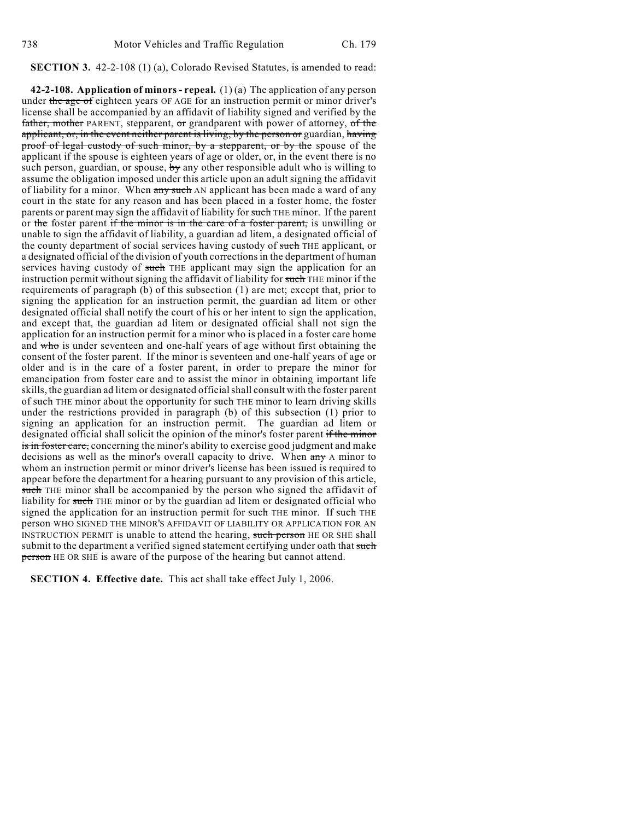## **SECTION 3.** 42-2-108 (1) (a), Colorado Revised Statutes, is amended to read:

**42-2-108. Application of minors - repeal.** (1) (a) The application of any person under the age of eighteen years OF AGE for an instruction permit or minor driver's license shall be accompanied by an affidavit of liability signed and verified by the father, mother PARENT, stepparent, or grandparent with power of attorney, of the applicant, or, in the event neither parent is living, by the person or guardian, having proof of legal custody of such minor, by a stepparent, or by the spouse of the applicant if the spouse is eighteen years of age or older, or, in the event there is no such person, guardian, or spouse,  $\frac{1}{2}$  by any other responsible adult who is willing to assume the obligation imposed under this article upon an adult signing the affidavit of liability for a minor. When  $\frac{1}{\text{any}}$  such AN applicant has been made a ward of any court in the state for any reason and has been placed in a foster home, the foster parents or parent may sign the affidavit of liability for such THE minor. If the parent or the foster parent if the minor is in the care of a foster parent, is unwilling or unable to sign the affidavit of liability, a guardian ad litem, a designated official of the county department of social services having custody of such THE applicant, or a designated official of the division of youth corrections in the department of human services having custody of such THE applicant may sign the application for an instruction permit without signing the affidavit of liability for such THE minor if the requirements of paragraph (b) of this subsection (1) are met; except that, prior to signing the application for an instruction permit, the guardian ad litem or other designated official shall notify the court of his or her intent to sign the application, and except that, the guardian ad litem or designated official shall not sign the application for an instruction permit for a minor who is placed in a foster care home and who is under seventeen and one-half years of age without first obtaining the consent of the foster parent. If the minor is seventeen and one-half years of age or older and is in the care of a foster parent, in order to prepare the minor for emancipation from foster care and to assist the minor in obtaining important life skills, the guardian ad litem or designated official shall consult with the foster parent of such THE minor about the opportunity for such THE minor to learn driving skills under the restrictions provided in paragraph (b) of this subsection (1) prior to signing an application for an instruction permit. The guardian ad litem or designated official shall solicit the opinion of the minor's foster parent if the minor is in foster care, concerning the minor's ability to exercise good judgment and make decisions as well as the minor's overall capacity to drive. When any A minor to whom an instruction permit or minor driver's license has been issued is required to appear before the department for a hearing pursuant to any provision of this article, such THE minor shall be accompanied by the person who signed the affidavit of liability for such THE minor or by the guardian ad litem or designated official who signed the application for an instruction permit for such THE minor. If such THE person WHO SIGNED THE MINOR'S AFFIDAVIT OF LIABILITY OR APPLICATION FOR AN INSTRUCTION PERMIT is unable to attend the hearing, such person HE OR SHE shall submit to the department a verified signed statement certifying under oath that such person HE OR SHE is aware of the purpose of the hearing but cannot attend.

**SECTION 4. Effective date.** This act shall take effect July 1, 2006.